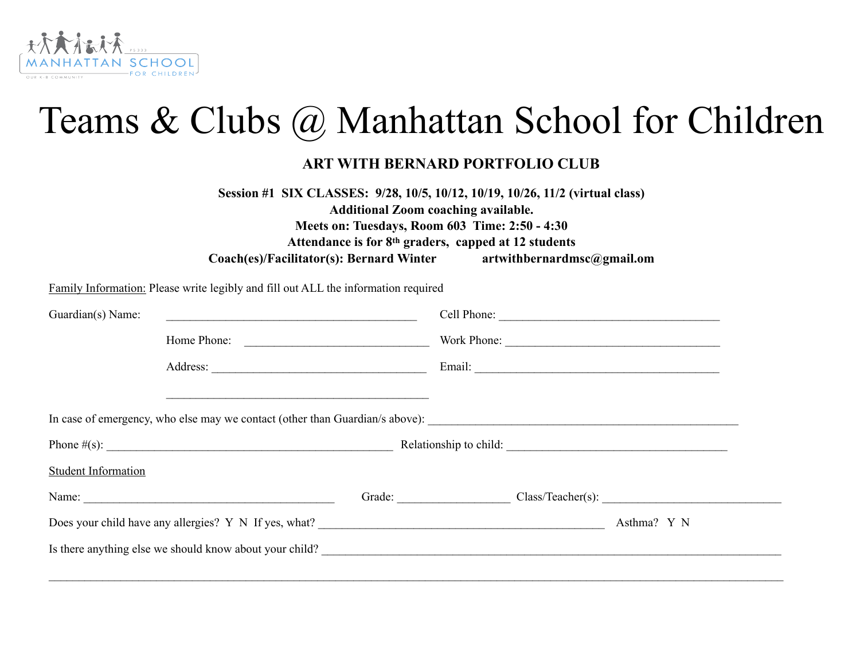

## Teams & Clubs @ Manhattan School for Children

## **ART WITH BERNARD PORTFOLIO CLUB**

**Session #1 SIX CLASSES: 9/28, 10/5, 10/12, 10/19, 10/26, 11/2 (virtual class) Additional Zoom coaching available. Meets on: Tuesdays, Room 603 Time: 2:50 - 4:30 Attendance is for 8th graders, capped at 12 students Coach(es)/Facilitator(s): Bernard Winter artwithbernardmsc@gmail.om**

Family Information: Please write legibly and fill out ALL the information required

| Guardian(s) Name:          | <u> 1989 - Johann John Stein, markin film yn y brenin y brenin y brenin y brenin y brenin y brenin y brenin y br</u> |  |                          |  |
|----------------------------|----------------------------------------------------------------------------------------------------------------------|--|--------------------------|--|
|                            |                                                                                                                      |  |                          |  |
|                            |                                                                                                                      |  |                          |  |
|                            |                                                                                                                      |  |                          |  |
|                            |                                                                                                                      |  |                          |  |
|                            | Phone $\#(s)$ : $\qquad \qquad$ Relationship to child:                                                               |  |                          |  |
| <b>Student Information</b> |                                                                                                                      |  |                          |  |
|                            |                                                                                                                      |  | Grade: Class/Teacher(s): |  |
|                            | Does your child have any allergies? Y N If yes, what? Asthma? Y N                                                    |  |                          |  |
|                            | Is there anything else we should know about your child?                                                              |  |                          |  |
|                            |                                                                                                                      |  |                          |  |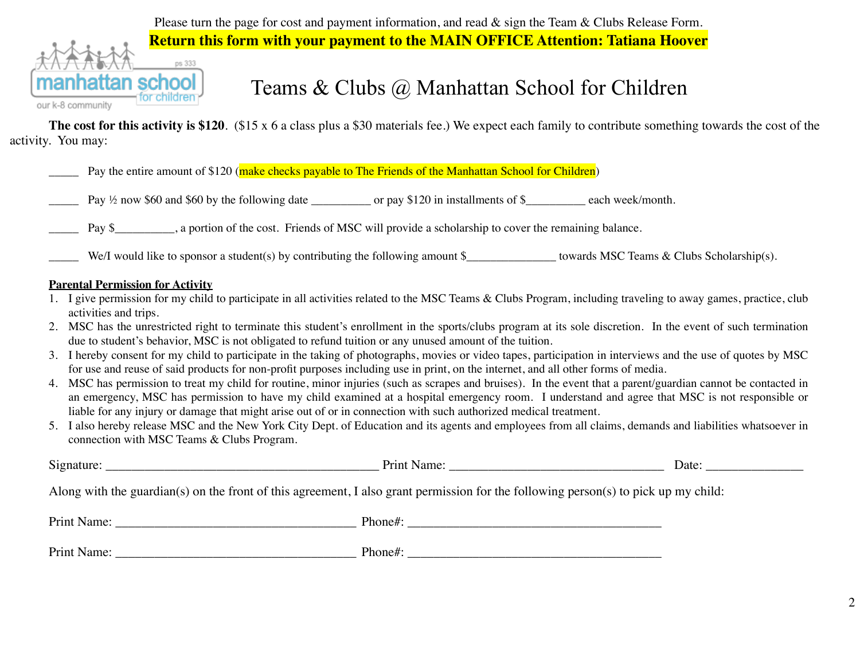Please turn the page for cost and payment information, and read & sign the Team & Clubs Release Form.

**Return this form with your payment to the MAIN OFFICE Attention: Tatiana Hoover** ps 333 our k-8 community

## **School** Teams & Clubs  $\omega$  Manhattan School for Children

**The cost for this activity is \$120**. (\$15 x 6 a class plus a \$30 materials fee.) We expect each family to contribute something towards the cost of the activity. You may:

| Pay the entire amount of \$120 (make checks payable to The Friends of the Manhattan School for Children) |  |
|----------------------------------------------------------------------------------------------------------|--|
|                                                                                                          |  |

| Pay $\frac{1}{2}$ now \$60 and \$60 by the following date | or pay $$120$ in installments of $$$ | each week/month. |
|-----------------------------------------------------------|--------------------------------------|------------------|
|                                                           |                                      |                  |

| Pay \$ |  | , a portion of the cost. Friends of MSC will provide a scholarship to cover the remaining balance. |  |
|--------|--|----------------------------------------------------------------------------------------------------|--|
|        |  |                                                                                                    |  |

We/I would like to sponsor a student(s) by contributing the following amount  $\frac{1}{2}$  towards MSC Teams & Clubs Scholarship(s).

## **Parental Permission for Activity**

- 1. I give permission for my child to participate in all activities related to the MSC Teams & Clubs Program, including traveling to away games, practice, club activities and trips.
- 2. MSC has the unrestricted right to terminate this student's enrollment in the sports/clubs program at its sole discretion. In the event of such termination due to student's behavior, MSC is not obligated to refund tuition or any unused amount of the tuition.
- 3. I hereby consent for my child to participate in the taking of photographs, movies or video tapes, participation in interviews and the use of quotes by MSC for use and reuse of said products for non-profit purposes including use in print, on the internet, and all other forms of media.
- 4. MSC has permission to treat my child for routine, minor injuries (such as scrapes and bruises). In the event that a parent/guardian cannot be contacted in an emergency, MSC has permission to have my child examined at a hospital emergency room. I understand and agree that MSC is not responsible or liable for any injury or damage that might arise out of or in connection with such authorized medical treatment.
- 5. I also hereby release MSC and the New York City Dept. of Education and its agents and employees from all claims, demands and liabilities whatsoever in connection with MSC Teams & Clubs Program.

| Signature:                                                                                                                          | Print Name: | Date: |  |  |  |
|-------------------------------------------------------------------------------------------------------------------------------------|-------------|-------|--|--|--|
| Along with the guardian(s) on the front of this agreement, I also grant permission for the following person(s) to pick up my child: |             |       |  |  |  |
| Print Name:                                                                                                                         | Phone#:     |       |  |  |  |
| Print Name:                                                                                                                         | Phone#:     |       |  |  |  |